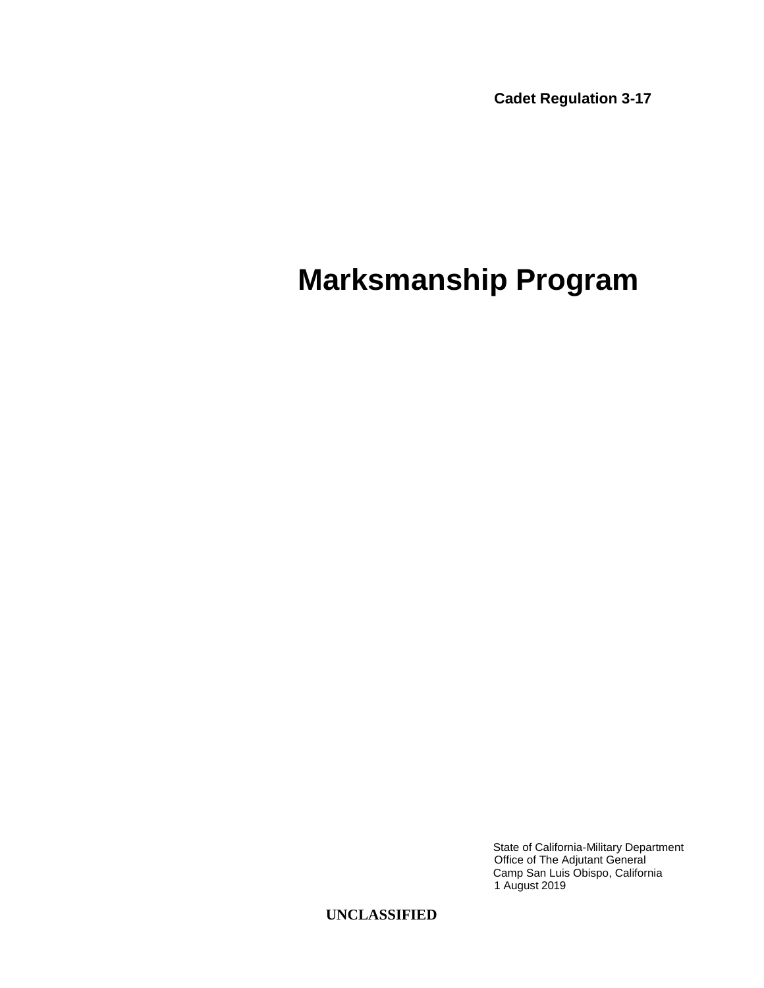**Cadet Regulation 3-17**

## **Marksmanship Program**

State of California-Military Department Office of The Adjutant General Camp San Luis Obispo, California 1 August 2019

**UNCLASSIFIED**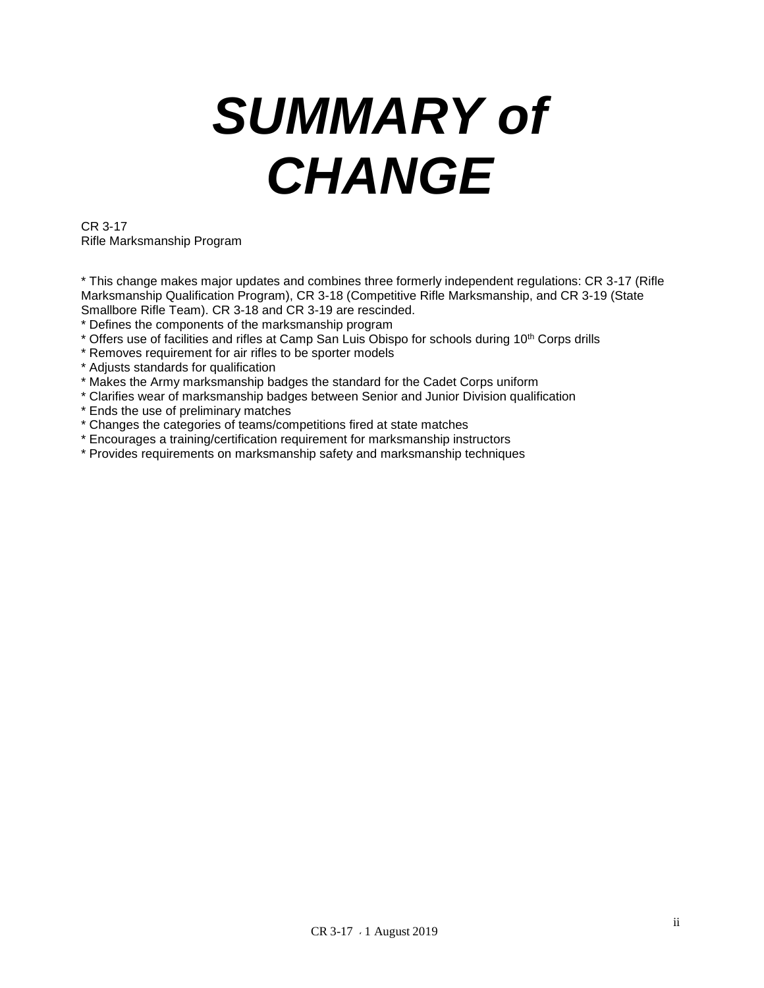# *SUMMARY of CHANGE*

CR 3-17 Rifle Marksmanship Program

\* This change makes major updates and combines three formerly independent regulations: CR 3-17 (Rifle Marksmanship Qualification Program), CR 3-18 (Competitive Rifle Marksmanship, and CR 3-19 (State Smallbore Rifle Team). CR 3-18 and CR 3-19 are rescinded.

- \* Defines the components of the marksmanship program
- \* Offers use of facilities and rifles at Camp San Luis Obispo for schools during 10<sup>th</sup> Corps drills
- \* Removes requirement for air rifles to be sporter models
- \* Adjusts standards for qualification
- \* Makes the Army marksmanship badges the standard for the Cadet Corps uniform
- \* Clarifies wear of marksmanship badges between Senior and Junior Division qualification
- \* Ends the use of preliminary matches
- \* Changes the categories of teams/competitions fired at state matches
- \* Encourages a training/certification requirement for marksmanship instructors
- \* Provides requirements on marksmanship safety and marksmanship techniques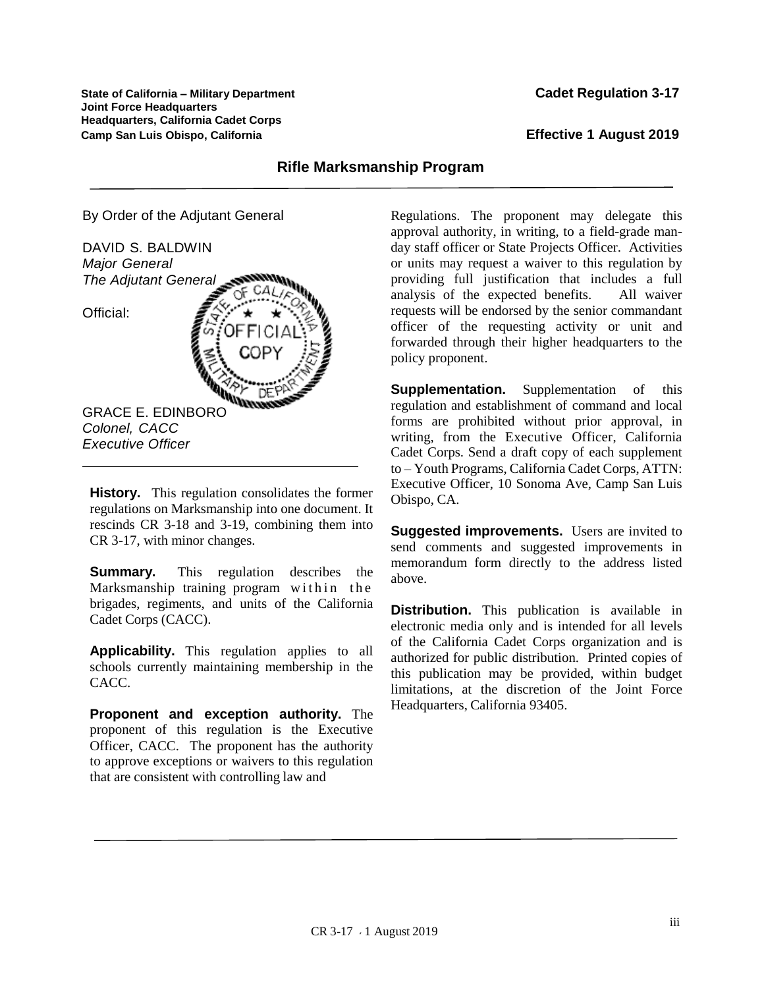**State of California – Military Department Cadet Regulation 3-17 Joint Force Headquarters Headquarters, California Cadet Corps Camp San Luis Obispo, California Effective 1 August 2019**

#### **Rifle Marksmanship Program**

By Order of the Adjutant General



**History.** This regulation consolidates the former regulations on Marksmanship into one document. It rescinds CR 3-18 and 3-19, combining them into CR 3-17, with minor changes.

**Summary.** This regulation describes the Marksmanship training program within the brigades, regiments, and units of the California Cadet Corps (CACC).

**Applicability.** This regulation applies to all schools currently maintaining membership in the CACC.

**Proponent and exception authority.** The proponent of this regulation is the Executive Officer, CACC. The proponent has the authority to approve exceptions or waivers to this regulation that are consistent with controlling law and

Regulations. The proponent may delegate this approval authority, in writing, to a field-grade manday staff officer or State Projects Officer. Activities or units may request a waiver to this regulation by providing full justification that includes a full analysis of the expected benefits. All waiver requests will be endorsed by the senior commandant officer of the requesting activity or unit and forwarded through their higher headquarters to the policy proponent.

**Supplementation.** Supplementation of this regulation and establishment of command and local forms are prohibited without prior approval, in writing, from the Executive Officer, California Cadet Corps. Send a draft copy of each supplement to – Youth Programs, California Cadet Corps, ATTN: Executive Officer, 10 Sonoma Ave, Camp San Luis Obispo, CA.

**Suggested improvements.** Users are invited to send comments and suggested improvements in memorandum form directly to the address listed above.

**Distribution.** This publication is available in electronic media only and is intended for all levels of the California Cadet Corps organization and is authorized for public distribution. Printed copies of this publication may be provided, within budget limitations, at the discretion of the Joint Force Headquarters, California 93405.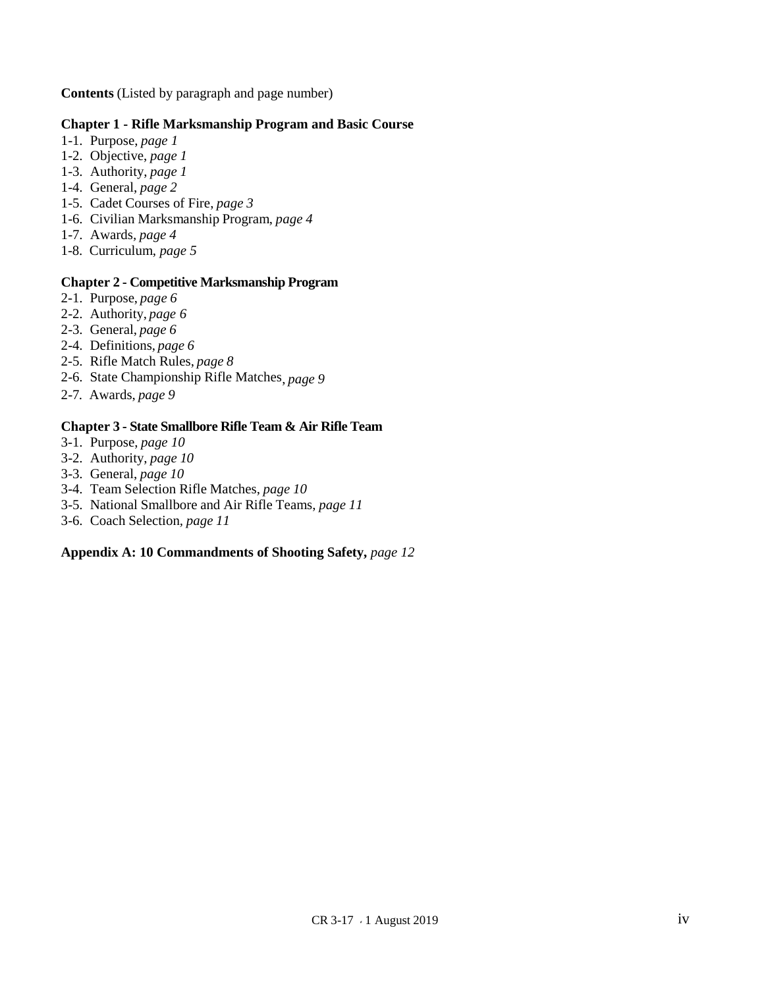**Contents** (Listed by paragraph and page number)

#### **Chapter 1 - Rifle Marksmanship Program and Basic Course**

- 1-1. Purpose, *page 1*
- 1-2. Objective, *page 1*
- 1-3. Authority, *page 1*
- 1-4. General, *page 2*
- 1-5. Cadet Courses of Fire, *page 3*
- 1-6. Civilian Marksmanship Program, *page 4*
- 1-7. Awards*, page 4*
- 1-8. Curriculum, *page 5*

#### **Chapter 2 - Competitive Marksmanship Program**

- 2-1. Purpose, *page 6*
- 2-2. Authority, *page 6*
- 2-3. General, *page 6*
- 2-4. Definitions, *page 6*
- 2-5. Rifle Match Rules, *page 8*
- 2-6. State Championship Rifle Matches, *page 9*
- 2-7*.* Awards, *page 9*

#### **Chapter 3 - State Smallbore Rifle Team & Air Rifle Team**

- 3-1. Purpose, *page 10*
- 3-2. Authority, *page 10*
- 3-3. General, *page 10*
- 3-4. Team Selection Rifle Matches, *page 10*
- 3-5. National Smallbore and Air Rifle Teams, *page 11*
- 3-6. Coach Selection*, page 11*

#### **Appendix A: 10 Commandments of Shooting Safety,** *page 12*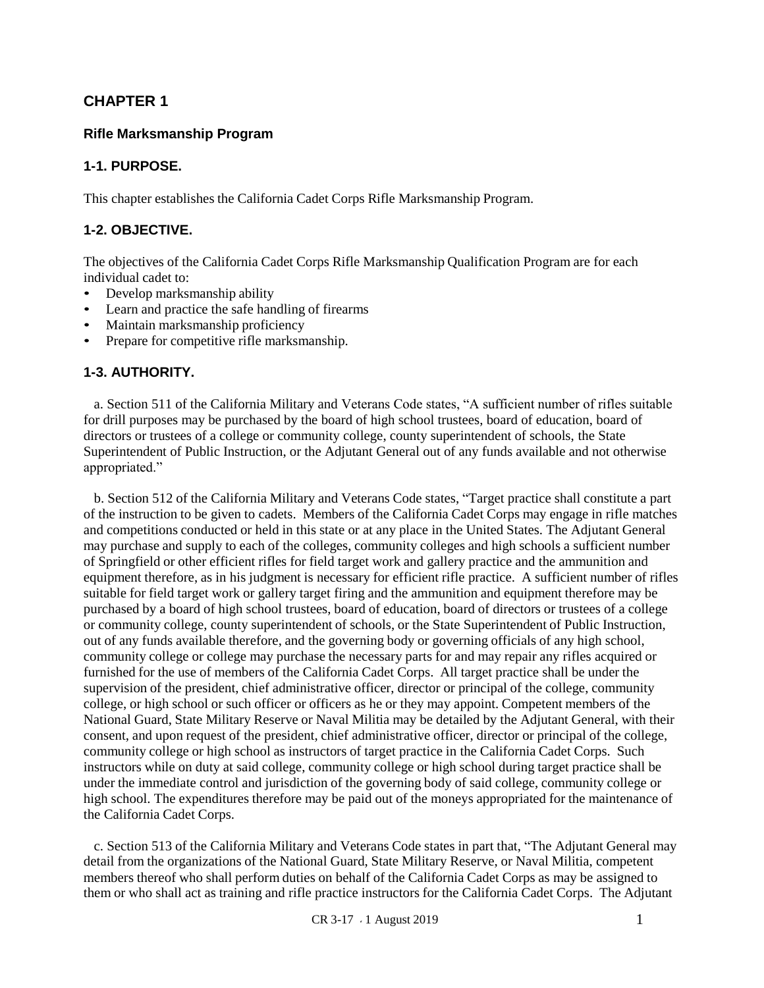## **CHAPTER 1**

#### **Rifle Marksmanship Program**

#### **1-1. PURPOSE.**

This chapter establishes the California Cadet Corps Rifle Marksmanship Program.

#### **1-2. OBJECTIVE.**

The objectives of the California Cadet Corps Rifle Marksmanship Qualification Program are for each individual cadet to:

- Develop marksmanship ability
- Learn and practice the safe handling of firearms
- Maintain marksmanship proficiency
- Prepare for competitive rifle marksmanship.

#### **1-3. AUTHORITY.**

 a. Section 511 of the California Military and Veterans Code states, "A sufficient number of rifles suitable for drill purposes may be purchased by the board of high school trustees, board of education, board of directors or trustees of a college or community college, county superintendent of schools, the State Superintendent of Public Instruction, or the Adjutant General out of any funds available and not otherwise appropriated."

 b. Section 512 of the California Military and Veterans Code states, "Target practice shall constitute a part of the instruction to be given to cadets. Members of the California Cadet Corps may engage in rifle matches and competitions conducted or held in this state or at any place in the United States. The Adjutant General may purchase and supply to each of the colleges, community colleges and high schools a sufficient number of Springfield or other efficient rifles for field target work and gallery practice and the ammunition and equipment therefore, as in his judgment is necessary for efficient rifle practice. A sufficient number of rifles suitable for field target work or gallery target firing and the ammunition and equipment therefore may be purchased by a board of high school trustees, board of education, board of directors or trustees of a college or community college, county superintendent of schools, or the State Superintendent of Public Instruction, out of any funds available therefore, and the governing body or governing officials of any high school, community college or college may purchase the necessary parts for and may repair any rifles acquired or furnished for the use of members of the California Cadet Corps. All target practice shall be under the supervision of the president, chief administrative officer, director or principal of the college, community college, or high school or such officer or officers as he or they may appoint. Competent members of the National Guard, State Military Reserve or Naval Militia may be detailed by the Adjutant General, with their consent, and upon request of the president, chief administrative officer, director or principal of the college, community college or high school as instructors of target practice in the California Cadet Corps. Such instructors while on duty at said college, community college or high school during target practice shall be under the immediate control and jurisdiction of the governing body of said college, community college or high school. The expenditures therefore may be paid out of the moneys appropriated for the maintenance of the California Cadet Corps.

 c. Section 513 of the California Military and Veterans Code states in part that, "The Adjutant General may detail from the organizations of the National Guard, State Military Reserve, or Naval Militia, competent members thereof who shall perform duties on behalf of the California Cadet Corps as may be assigned to them or who shall act as training and rifle practice instructors for the California Cadet Corps. The Adjutant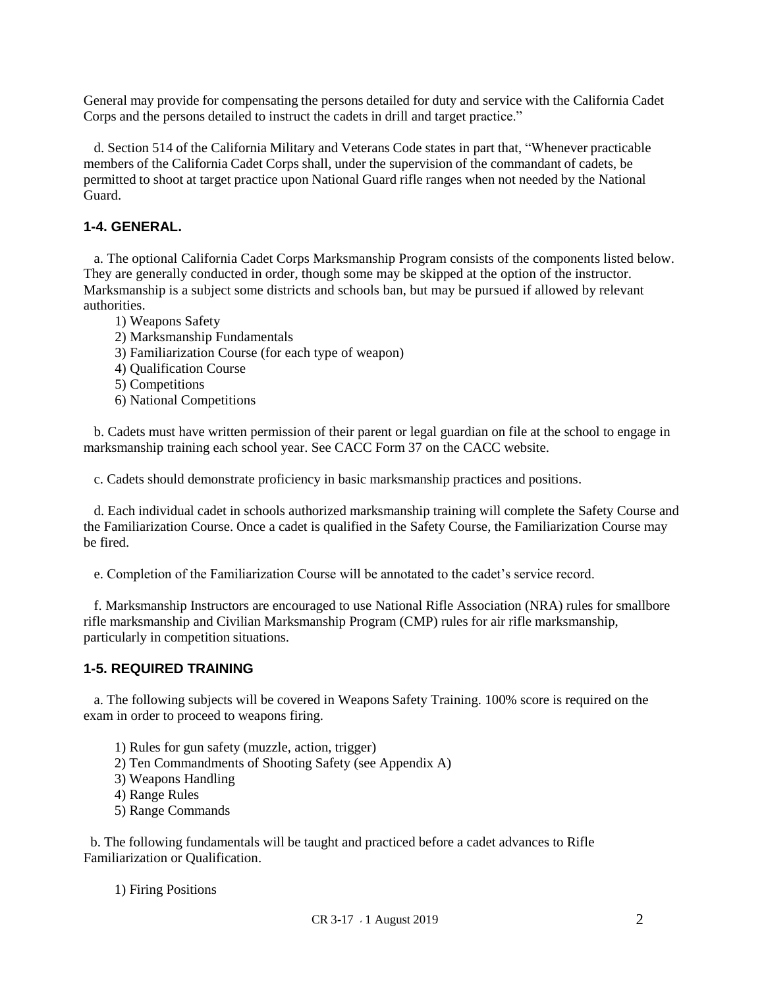General may provide for compensating the persons detailed for duty and service with the California Cadet Corps and the persons detailed to instruct the cadets in drill and target practice."

 d. Section 514 of the California Military and Veterans Code states in part that, "Whenever practicable members of the California Cadet Corps shall, under the supervision of the commandant of cadets, be permitted to shoot at target practice upon National Guard rifle ranges when not needed by the National Guard.

#### **1-4. GENERAL.**

 a. The optional California Cadet Corps Marksmanship Program consists of the components listed below. They are generally conducted in order, though some may be skipped at the option of the instructor. Marksmanship is a subject some districts and schools ban, but may be pursued if allowed by relevant authorities.

- 1) Weapons Safety
- 2) Marksmanship Fundamentals
- 3) Familiarization Course (for each type of weapon)
- 4) Qualification Course
- 5) Competitions
- 6) National Competitions

 b. Cadets must have written permission of their parent or legal guardian on file at the school to engage in marksmanship training each school year. See CACC Form 37 on the CACC website.

c. Cadets should demonstrate proficiency in basic marksmanship practices and positions.

 d. Each individual cadet in schools authorized marksmanship training will complete the Safety Course and the Familiarization Course. Once a cadet is qualified in the Safety Course, the Familiarization Course may be fired.

e. Completion of the Familiarization Course will be annotated to the cadet's service record.

 f. Marksmanship Instructors are encouraged to use National Rifle Association (NRA) rules for smallbore rifle marksmanship and Civilian Marksmanship Program (CMP) rules for air rifle marksmanship, particularly in competition situations.

#### **1-5. REQUIRED TRAINING**

 a. The following subjects will be covered in Weapons Safety Training. 100% score is required on the exam in order to proceed to weapons firing.

- 1) Rules for gun safety (muzzle, action, trigger)
- 2) Ten Commandments of Shooting Safety (see Appendix A)
- 3) Weapons Handling
- 4) Range Rules
- 5) Range Commands

 b. The following fundamentals will be taught and practiced before a cadet advances to Rifle Familiarization or Qualification.

1) Firing Positions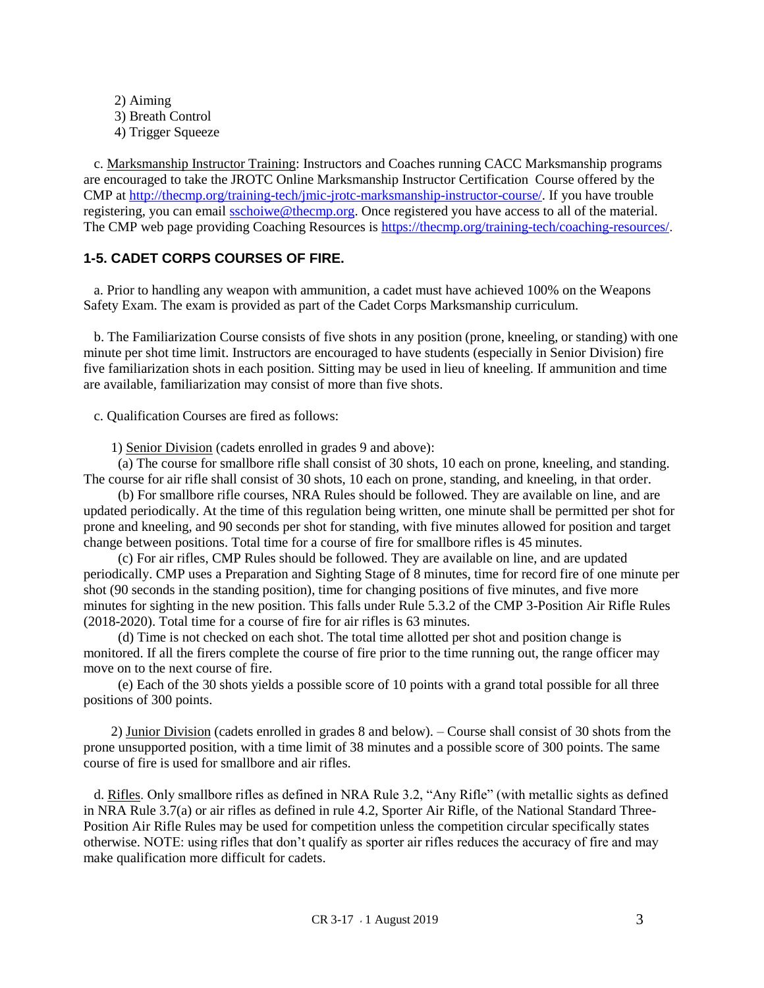2) Aiming 3) Breath Control 4) Trigger Squeeze

 c. Marksmanship Instructor Training: Instructors and Coaches running CACC Marksmanship programs are encouraged to take the JROTC Online Marksmanship Instructor Certification Course offered by the CMP at [http://thecmp.org/training-tech/jmic-jrotc-marksmanship-instructor-course/.](http://thecmp.org/training-tech/jmic-jrotc-marksmanship-instructor-course/) If you have trouble registering, you can email [sschoiwe@thecmp.org.](mailto:sschoiwe@thecmp.org) Once registered you have access to all of the material. The CMP web page providing Coaching Resources is [https://thecmp.org/training-tech/coaching-resources/.](https://thecmp.org/training-tech/coaching-resources/)

#### **1-5. CADET CORPS COURSES OF FIRE.**

 a. Prior to handling any weapon with ammunition, a cadet must have achieved 100% on the Weapons Safety Exam. The exam is provided as part of the Cadet Corps Marksmanship curriculum.

 b. The Familiarization Course consists of five shots in any position (prone, kneeling, or standing) with one minute per shot time limit. Instructors are encouraged to have students (especially in Senior Division) fire five familiarization shots in each position. Sitting may be used in lieu of kneeling. If ammunition and time are available, familiarization may consist of more than five shots.

c. Qualification Courses are fired as follows:

1) Senior Division (cadets enrolled in grades 9 and above):

 (a) The course for smallbore rifle shall consist of 30 shots, 10 each on prone, kneeling, and standing. The course for air rifle shall consist of 30 shots, 10 each on prone, standing, and kneeling, in that order.

 (b) For smallbore rifle courses, NRA Rules should be followed. They are available on line, and are updated periodically. At the time of this regulation being written, one minute shall be permitted per shot for prone and kneeling, and 90 seconds per shot for standing, with five minutes allowed for position and target change between positions. Total time for a course of fire for smallbore rifles is 45 minutes.

 (c) For air rifles, CMP Rules should be followed. They are available on line, and are updated periodically. CMP uses a Preparation and Sighting Stage of 8 minutes, time for record fire of one minute per shot (90 seconds in the standing position), time for changing positions of five minutes, and five more minutes for sighting in the new position. This falls under Rule 5.3.2 of the CMP 3-Position Air Rifle Rules (2018-2020). Total time for a course of fire for air rifles is 63 minutes.

 (d) Time is not checked on each shot. The total time allotted per shot and position change is monitored. If all the firers complete the course of fire prior to the time running out, the range officer may move on to the next course of fire.

 (e) Each of the 30 shots yields a possible score of 10 points with a grand total possible for all three positions of 300 points.

 2) Junior Division (cadets enrolled in grades 8 and below). – Course shall consist of 30 shots from the prone unsupported position, with a time limit of 38 minutes and a possible score of 300 points. The same course of fire is used for smallbore and air rifles.

 d. Rifles. Only smallbore rifles as defined in NRA Rule 3.2, "Any Rifle" (with metallic sights as defined in NRA Rule 3.7(a) or air rifles as defined in rule 4.2, Sporter Air Rifle, of the National Standard Three-Position Air Rifle Rules may be used for competition unless the competition circular specifically states otherwise. NOTE: using rifles that don't qualify as sporter air rifles reduces the accuracy of fire and may make qualification more difficult for cadets.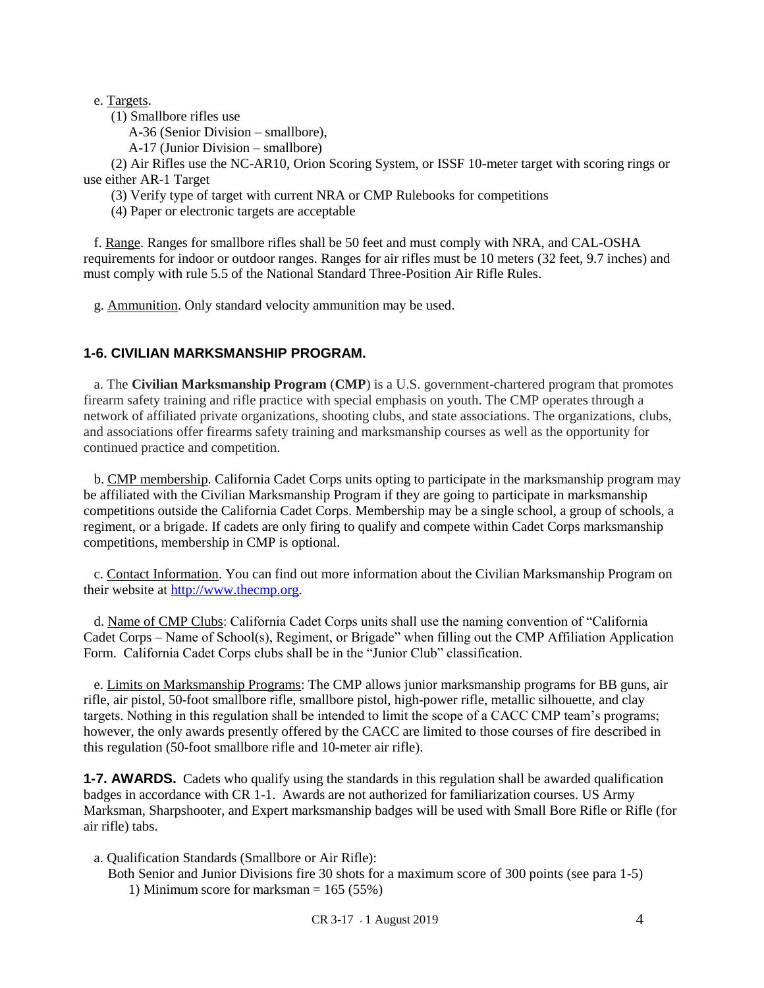e. Targets.

(1) Smallbore rifles use

A-36 (Senior Division – smallbore),

A-17 (Junior Division – smallbore)

 (2) Air Rifles use the NC-AR10, Orion Scoring System, or ISSF 10-meter target with scoring rings or use either AR-1 Target

(3) Verify type of target with current NRA or CMP Rulebooks for competitions

(4) Paper or electronic targets are acceptable

 f. Range. Ranges for smallbore rifles shall be 50 feet and must comply with NRA, and CAL-OSHA requirements for indoor or outdoor ranges. Ranges for air rifles must be 10 meters (32 feet, 9.7 inches) and must comply with rule 5.5 of the National Standard Three-Position Air Rifle Rules.

g. Ammunition. Only standard velocity ammunition may be used.

#### **1-6. CIVILIAN MARKSMANSHIP PROGRAM.**

 a. The **Civilian Marksmanship Program** (**CMP**) is a [U.S. government-](https://en.wikipedia.org/wiki/Federal_government_of_the_United_States)chartered program that promotes [firearm](https://en.wikipedia.org/wiki/Firearm) safety training an[d rifle](https://en.wikipedia.org/wiki/Rifle) practice with special emphasis on youth. The CMP operates through a network of affiliated private organizations, shooting clubs, and state associations. The organizations, clubs, and associations offer firearms safety training and marksmanship courses as well as the opportunity for continued practice and competition.

 b. CMP membership. California Cadet Corps units opting to participate in the marksmanship program may be affiliated with the Civilian Marksmanship Program if they are going to participate in marksmanship competitions outside the California Cadet Corps. Membership may be a single school, a group of schools, a regiment, or a brigade. If cadets are only firing to qualify and compete within Cadet Corps marksmanship competitions, membership in CMP is optional.

 c. Contact Information. You can find out more information about the Civilian Marksmanship Program on their website at [http://www.thecmp.org.](http://www.thecmp.org/)

 d. Name of CMP Clubs: California Cadet Corps units shall use the naming convention of "California Cadet Corps – Name of School(s), Regiment, or Brigade" when filling out the CMP Affiliation Application Form. California Cadet Corps clubs shall be in the "Junior Club" classification.

 e. Limits on Marksmanship Programs: The CMP allows junior marksmanship programs for BB guns, air rifle, air pistol, 50-foot smallbore rifle, smallbore pistol, high-power rifle, metallic silhouette, and clay targets. Nothing in this regulation shall be intended to limit the scope of a CACC CMP team's programs; however, the only awards presently offered by the CACC are limited to those courses of fire described in this regulation (50-foot smallbore rifle and 10-meter air rifle).

**1-7. AWARDS.** Cadets who qualify using the standards in this regulation shall be awarded qualification badges in accordance with CR 1-1. Awards are not authorized for familiarization courses. US Army Marksman, Sharpshooter, and Expert marksmanship badges will be used with Small Bore Rifle or Rifle (for air rifle) tabs.

a. Qualification Standards (Smallbore or Air Rifle):

 Both Senior and Junior Divisions fire 30 shots for a maximum score of 300 points (see para 1-5) 1) Minimum score for marksman = 165 (55%)

CR 3-17 1 August 2019 4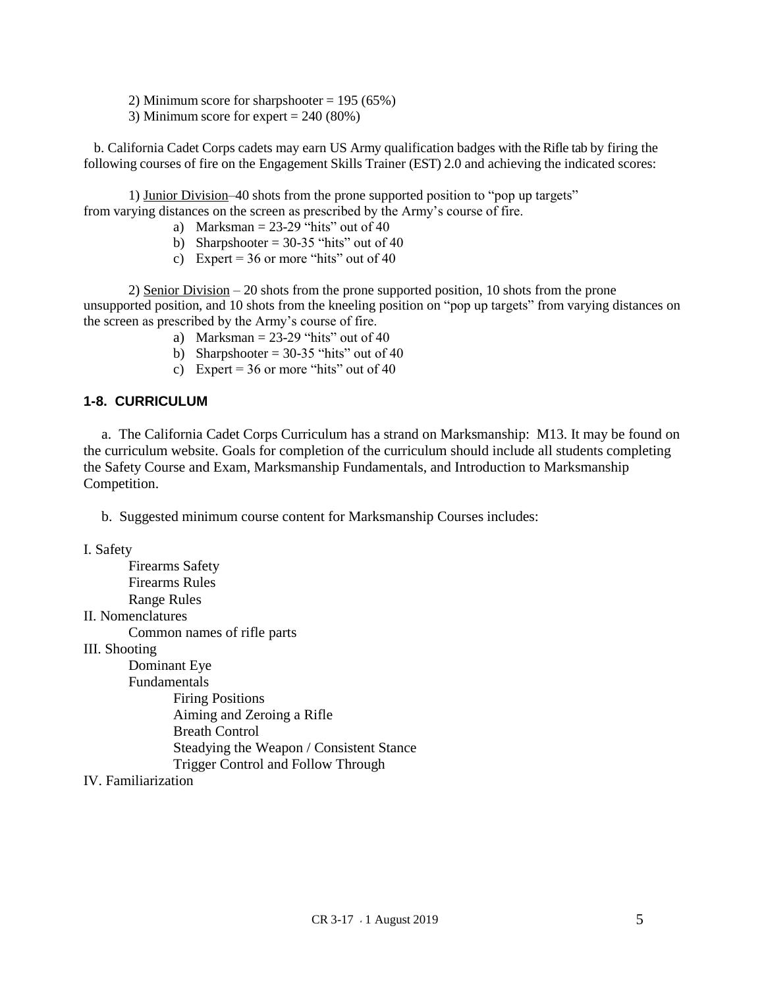- 2) Minimum score for sharpshooter  $= 195 (65%)$
- 3) Minimum score for expert = 240 (80%)

 b. California Cadet Corps cadets may earn US Army qualification badges with the Rifle tab by firing the following courses of fire on the Engagement Skills Trainer (EST) 2.0 and achieving the indicated scores:

1) Junior Division–40 shots from the prone supported position to "pop up targets" from varying distances on the screen as prescribed by the Army's course of fire.

- a) Marksman =  $23-29$  "hits" out of 40
- b) Sharpshooter =  $30-35$  "hits" out of 40
- c) Expert =  $36$  or more "hits" out of  $40$

2) Senior Division – 20 shots from the prone supported position, 10 shots from the prone unsupported position, and 10 shots from the kneeling position on "pop up targets" from varying distances on the screen as prescribed by the Army's course of fire.

- a) Marksman  $= 23-29$  "hits" out of 40
- b) Sharpshooter =  $30-35$  "hits" out of 40
- c) Expert =  $36$  or more "hits" out of  $40$

#### **1-8. CURRICULUM**

 a. The California Cadet Corps Curriculum has a strand on Marksmanship: M13. It may be found on the curriculum website. Goals for completion of the curriculum should include all students completing the Safety Course and Exam, Marksmanship Fundamentals, and Introduction to Marksmanship Competition.

b. Suggested minimum course content for Marksmanship Courses includes:

I. Safety

Firearms Safety Firearms Rules Range Rules II. Nomenclatures Common names of rifle parts III. Shooting Dominant Eye Fundamentals Firing Positions Aiming and Zeroing a Rifle Breath Control Steadying the Weapon / Consistent Stance

Trigger Control and Follow Through

IV. Familiarization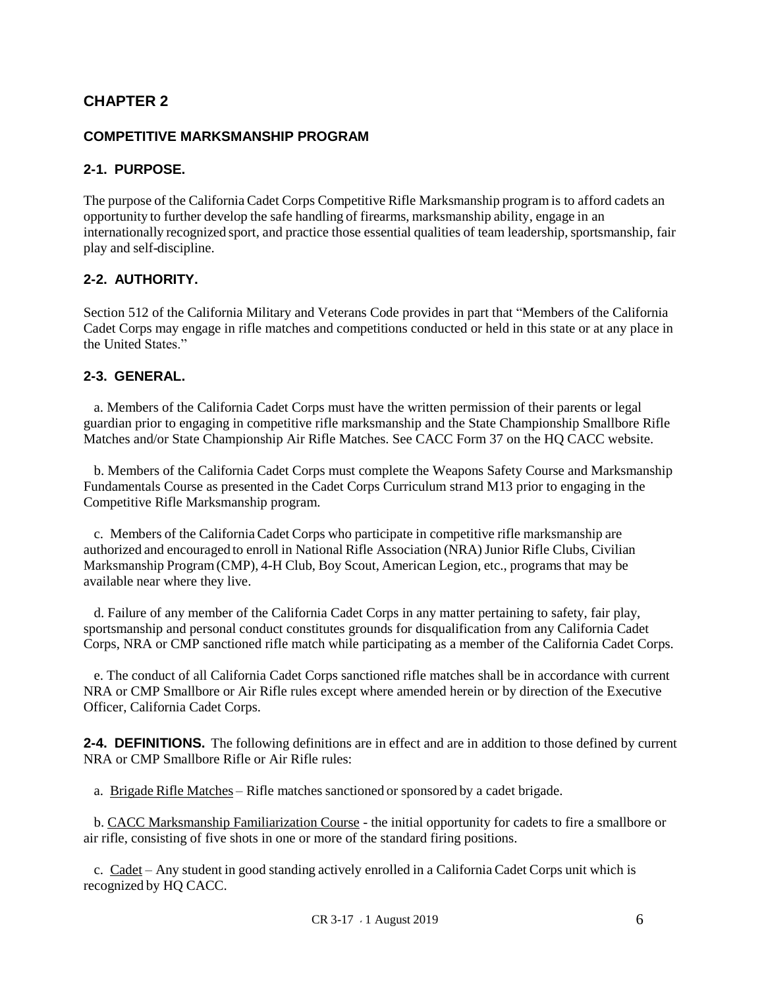## **CHAPTER 2**

#### **COMPETITIVE MARKSMANSHIP PROGRAM**

#### **2-1. PURPOSE.**

The purpose of the California Cadet Corps Competitive Rifle Marksmanship program is to afford cadets an opportunity to further develop the safe handling of firearms, marksmanship ability, engage in an internationally recognized sport, and practice those essential qualities of team leadership, sportsmanship, fair play and self-discipline.

#### **2-2. AUTHORITY.**

Section 512 of the California Military and Veterans Code provides in part that "Members of the California Cadet Corps may engage in rifle matches and competitions conducted or held in this state or at any place in the United States."

#### **2-3. GENERAL.**

 a. Members of the California Cadet Corps must have the written permission of their parents or legal guardian prior to engaging in competitive rifle marksmanship and the State Championship Smallbore Rifle Matches and/or State Championship Air Rifle Matches. See CACC Form 37 on the HQ CACC website.

 b. Members of the California Cadet Corps must complete the Weapons Safety Course and Marksmanship Fundamentals Course as presented in the Cadet Corps Curriculum strand M13 prior to engaging in the Competitive Rifle Marksmanship program.

 c. Members of the California Cadet Corps who participate in competitive rifle marksmanship are authorized and encouraged to enroll in National Rifle Association (NRA) Junior Rifle Clubs, Civilian Marksmanship Program(CMP), 4-H Club, Boy Scout, American Legion, etc., programsthat may be available near where they live.

 d. Failure of any member of the California Cadet Corps in any matter pertaining to safety, fair play, sportsmanship and personal conduct constitutes grounds for disqualification from any California Cadet Corps, NRA or CMP sanctioned rifle match while participating as a member of the California Cadet Corps.

 e. The conduct of all California Cadet Corps sanctioned rifle matches shall be in accordance with current NRA or CMP Smallbore or Air Rifle rules except where amended herein or by direction of the Executive Officer, California Cadet Corps.

**2-4. DEFINITIONS.** The following definitions are in effect and are in addition to those defined by current NRA or CMP Smallbore Rifle or Air Rifle rules:

a. Brigade Rifle Matches – Rifle matches sanctioned or sponsored by a cadet brigade.

 b. CACC Marksmanship Familiarization Course - the initial opportunity for cadets to fire a smallbore or air rifle, consisting of five shots in one or more of the standard firing positions.

 c. Cadet – Any student in good standing actively enrolled in a California Cadet Corps unit which is recognized by HQ CACC.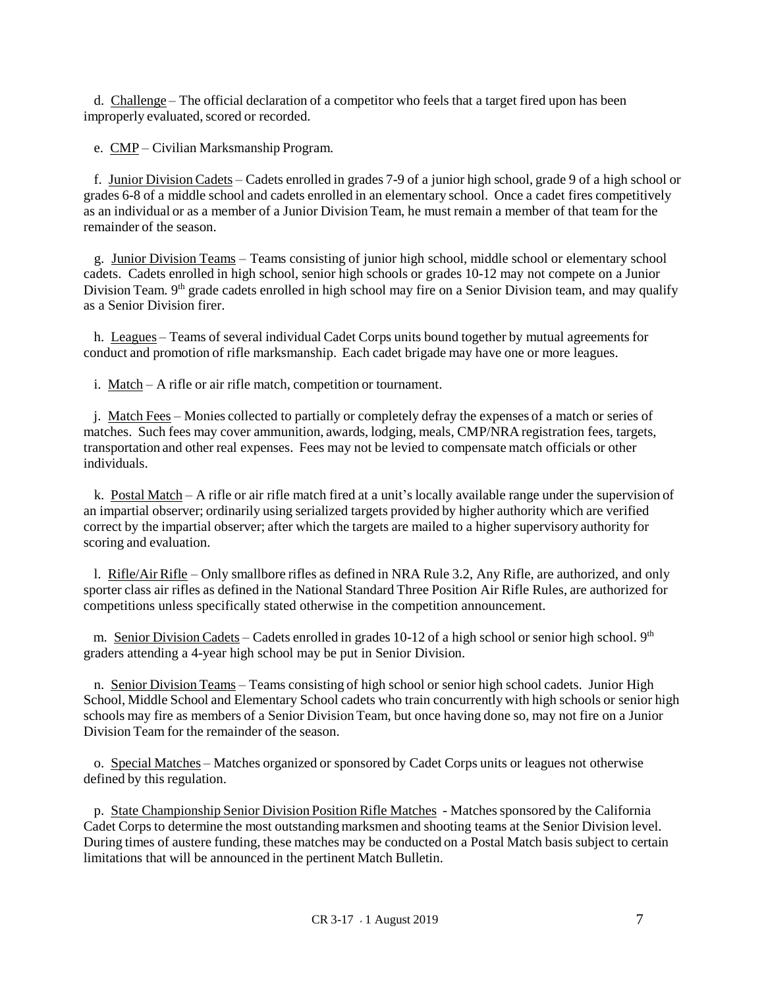d. Challenge – The official declaration of a competitor who feels that a target fired upon has been improperly evaluated, scored or recorded.

e. CMP – Civilian Marksmanship Program.

 f. Junior Division Cadets – Cadets enrolled in grades 7-9 of a junior high school, grade 9 of a high school or grades 6-8 of a middle school and cadets enrolled in an elementary school. Once a cadet fires competitively as an individual or as a member of a Junior Division Team, he must remain a member of that team for the remainder of the season.

 g. Junior Division Teams – Teams consisting of junior high school, middle school or elementary school cadets. Cadets enrolled in high school, senior high schools or grades 10-12 may not compete on a Junior Division Team. 9<sup>th</sup> grade cadets enrolled in high school may fire on a Senior Division team, and may qualify as a Senior Division firer.

 h. Leagues – Teams of several individual Cadet Corps units bound together by mutual agreements for conduct and promotion of rifle marksmanship. Each cadet brigade may have one or more leagues.

i. Match – A rifle or air rifle match, competition or tournament.

 j. Match Fees – Monies collected to partially or completely defray the expenses of a match or series of matches. Such fees may cover ammunition, awards, lodging, meals, CMP/NRA registration fees, targets, transportation and other real expenses. Fees may not be levied to compensate match officials or other individuals.

 k. Postal Match – A rifle or air rifle match fired at a unit's locally available range under the supervision of an impartial observer; ordinarily using serialized targets provided by higher authority which are verified correct by the impartial observer; after which the targets are mailed to a higher supervisory authority for scoring and evaluation.

 l. Rifle/Air Rifle – Only smallbore rifles as defined in NRA Rule 3.2, Any Rifle, are authorized, and only sporter class air rifles as defined in the National Standard Three Position Air Rifle Rules, are authorized for competitions unless specifically stated otherwise in the competition announcement.

m. Senior Division Cadets – Cadets enrolled in grades 10-12 of a high school or senior high school. 9<sup>th</sup> graders attending a 4-year high school may be put in Senior Division.

 n. Senior Division Teams – Teams consisting of high school or senior high school cadets. Junior High School, Middle School and Elementary School cadets who train concurrently with high schools or senior high schools may fire as members of a Senior Division Team, but once having done so, may not fire on a Junior Division Team for the remainder of the season.

 o. Special Matches – Matches organized or sponsored by Cadet Corps units or leagues not otherwise defined by this regulation.

p. State Championship Senior Division Position Rifle Matches - Matches sponsored by the California Cadet Corps to determine the most outstanding marksmen and shooting teams at the Senior Division level. During times of austere funding, these matches may be conducted on a Postal Match basis subject to certain limitations that will be announced in the pertinent Match Bulletin.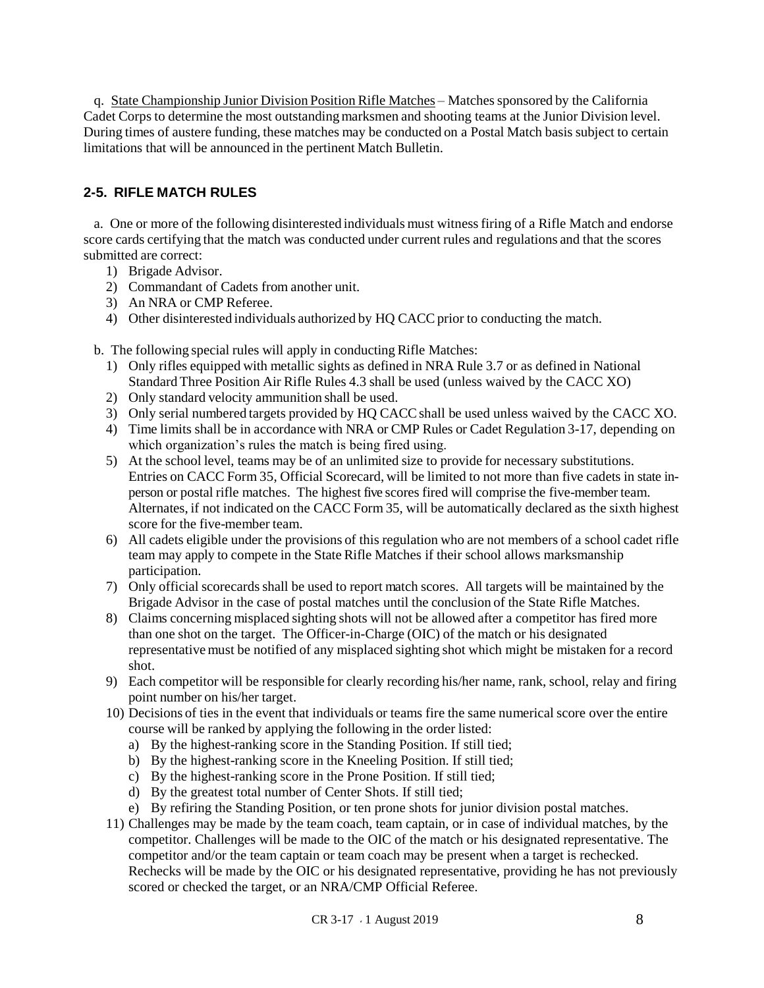q. State Championship Junior Division Position Rifle Matches – Matches sponsored by the California Cadet Corps to determine the most outstanding marksmen and shooting teams at the Junior Division level. During times of austere funding, these matches may be conducted on a Postal Match basis subject to certain limitations that will be announced in the pertinent Match Bulletin.

#### **2-5. RIFLE MATCH RULES**

 a. One or more of the following disinterested individuals must witnessfiring of a Rifle Match and endorse score cards certifying that the match was conducted under current rules and regulations and that the scores submitted are correct:

- 1) Brigade Advisor.
- 2) Commandant of Cadets from another unit.
- 3) An NRA or CMP Referee.
- 4) Other disinterested individuals authorized by HO CACC prior to conducting the match.

b. The following special rules will apply in conducting Rifle Matches:

- 1) Only rifles equipped with metallic sights as defined in NRA Rule 3.7 or as defined in National Standard Three Position Air Rifle Rules 4.3 shall be used (unless waived by the CACC XO)
- 2) Only standard velocity ammunition shall be used.
- 3) Only serial numbered targets provided by HQ CACCshall be used unless waived by the CACC XO.
- 4) Time limits shall be in accordance with NRA or CMP Rules or Cadet Regulation 3-17, depending on which organization's rules the match is being fired using.
- 5) At the school level, teams may be of an unlimited size to provide for necessary substitutions. Entries on CACC Form 35, Official Scorecard, will be limited to not more than five cadets in state inperson or postal rifle matches. The highest five scores fired will comprise the five-member team. Alternates, if not indicated on the CACC Form 35, will be automatically declared as the sixth highest score for the five-member team.
- 6) All cadets eligible under the provisions of this regulation who are not members of a school cadet rifle team may apply to compete in the State Rifle Matches if their school allows marksmanship participation.
- 7) Only official scorecardsshall be used to report match scores. All targets will be maintained by the Brigade Advisor in the case of postal matches until the conclusion of the State Rifle Matches.
- 8) Claims concerning misplaced sighting shots will not be allowed after a competitor has fired more than one shot on the target. The Officer-in-Charge (OIC) of the match or his designated representativemust be notified of any misplaced sighting shot which might be mistaken for a record shot.
- 9) Each competitor will be responsible for clearly recording his/her name, rank, school, relay and firing point number on his/her target.
- 10) Decisions of ties in the event that individuals or teams fire the same numerical score over the entire course will be ranked by applying the following in the order listed:
	- a) By the highest-ranking score in the Standing Position. If still tied;
	- b) By the highest-ranking score in the Kneeling Position. If still tied;
	- c) By the highest-ranking score in the Prone Position. If still tied;
	- d) By the greatest total number of Center Shots. If still tied;
	- e) By refiring the Standing Position, or ten prone shots for junior division postal matches.
- 11) Challenges may be made by the team coach, team captain, or in case of individual matches, by the competitor. Challenges will be made to the OIC of the match or his designated representative. The competitor and/or the team captain or team coach may be present when a target is rechecked. Rechecks will be made by the OIC or his designated representative, providing he has not previously scored or checked the target, or an NRA/CMP Official Referee.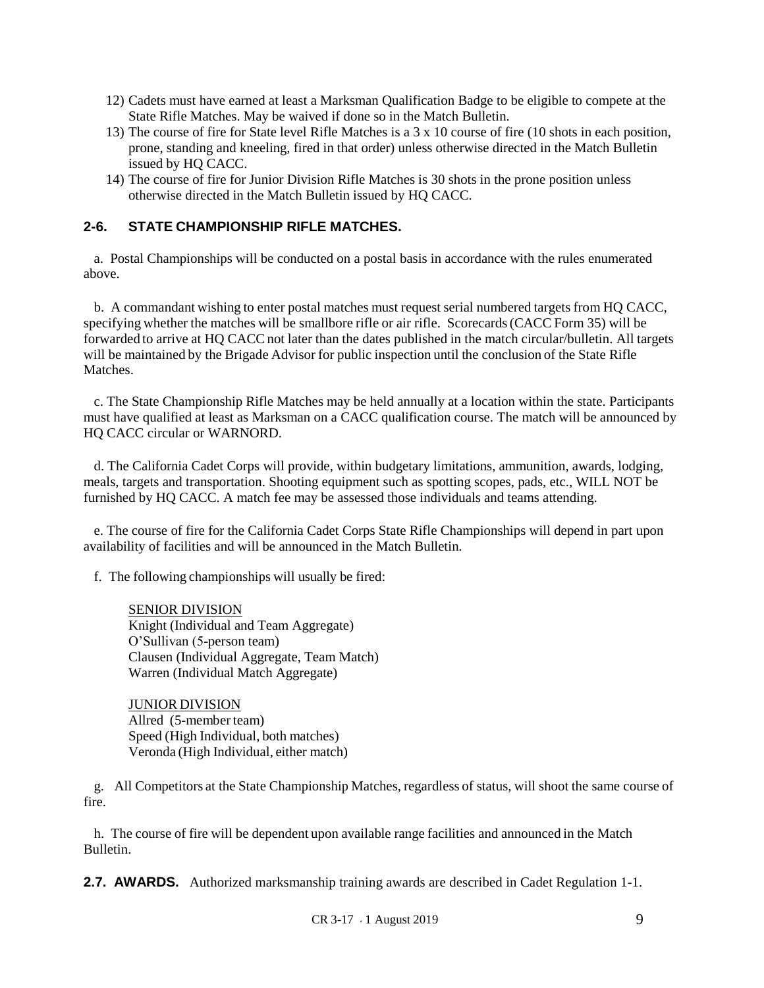- 12) Cadets must have earned at least a Marksman Qualification Badge to be eligible to compete at the State Rifle Matches. May be waived if done so in the Match Bulletin.
- 13) The course of fire for State level Rifle Matches is a 3 x 10 course of fire (10 shots in each position, prone, standing and kneeling, fired in that order) unless otherwise directed in the Match Bulletin issued by HQ CACC.
- 14) The course of fire for Junior Division Rifle Matches is 30 shots in the prone position unless otherwise directed in the Match Bulletin issued by HQ CACC.

#### **2-6. STATE CHAMPIONSHIP RIFLE MATCHES.**

 a. Postal Championships will be conducted on a postal basis in accordance with the rules enumerated above.

 b. A commandant wishing to enter postal matches must request serial numbered targets from HQ CACC, specifying whether the matches will be smallbore rifle or air rifle. Scorecards (CACC Form 35) will be forwarded to arrive at HQ CACC not later than the dates published in the match circular/bulletin. All targets will be maintained by the Brigade Advisor for public inspection until the conclusion of the State Rifle Matches.

 c. The State Championship Rifle Matches may be held annually at a location within the state. Participants must have qualified at least as Marksman on a CACC qualification course. The match will be announced by HQ CACC circular or WARNORD.

 d. The California Cadet Corps will provide, within budgetary limitations, ammunition, awards, lodging, meals, targets and transportation. Shooting equipment such as spotting scopes, pads, etc., WILL NOT be furnished by HQ CACC. A match fee may be assessed those individuals and teams attending.

 e. The course of fire for the California Cadet Corps State Rifle Championships will depend in part upon availability of facilities and will be announced in the Match Bulletin.

f. The following championships will usually be fired:

SENIOR DIVISION Knight (Individual and Team Aggregate) O'Sullivan (5-person team) Clausen (Individual Aggregate, Team Match) Warren (Individual Match Aggregate)

JUNIOR DIVISION Allred (5-member team) Speed (High Individual, both matches) Veronda (High Individual, either match)

 g. All Competitors at the State Championship Matches, regardless of status, will shoot the same course of fire.

 h. The course of fire will be dependent upon available range facilities and announced in the Match Bulletin.

**2.7. AWARDS.** Authorized marksmanship training awards are described in Cadet Regulation 1-1.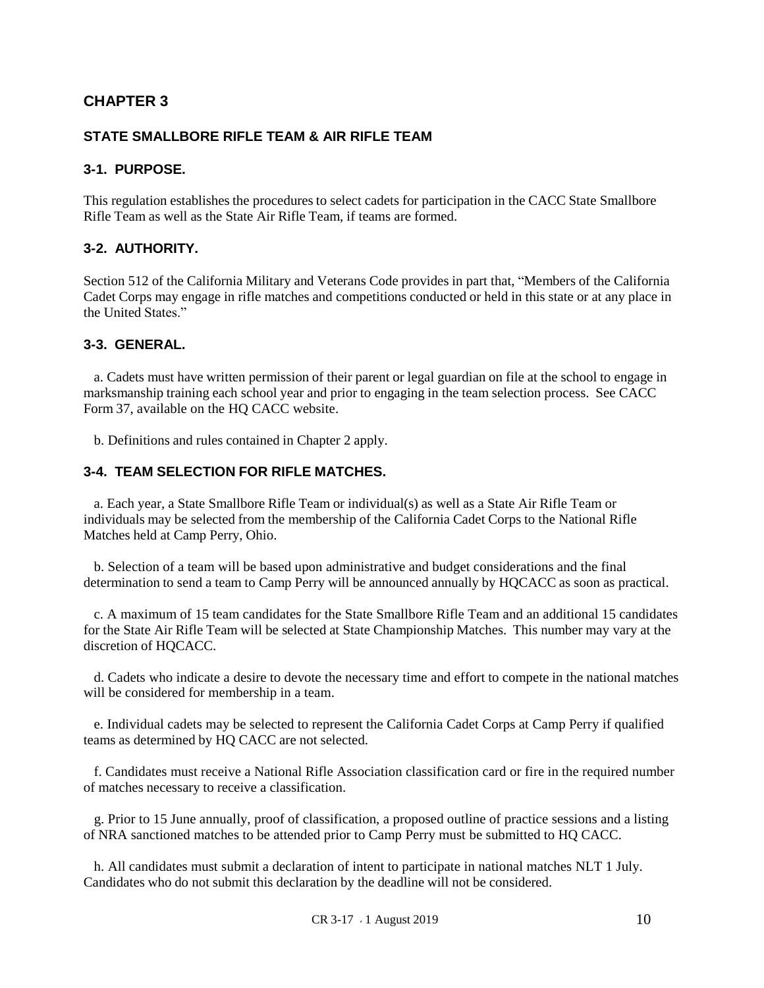#### **CHAPTER 3**

#### **STATE SMALLBORE RIFLE TEAM & AIR RIFLE TEAM**

#### **3-1. PURPOSE.**

This regulation establishes the procedures to select cadets for participation in the CACC State Smallbore Rifle Team as well as the State Air Rifle Team, if teams are formed.

#### **3-2. AUTHORITY.**

Section 512 of the California Military and Veterans Code provides in part that, "Members of the California Cadet Corps may engage in rifle matches and competitions conducted or held in this state or at any place in the United States."

#### **3-3. GENERAL.**

 a. Cadets must have written permission of their parent or legal guardian on file at the school to engage in marksmanship training each school year and prior to engaging in the team selection process. See CACC Form 37, available on the HQ CACC website.

b. Definitions and rules contained in Chapter 2 apply.

#### **3-4. TEAM SELECTION FOR RIFLE MATCHES.**

 a. Each year, a State Smallbore Rifle Team or individual(s) as well as a State Air Rifle Team or individuals may be selected from the membership of the California Cadet Corps to the National Rifle Matches held at Camp Perry, Ohio.

 b. Selection of a team will be based upon administrative and budget considerations and the final determination to send a team to Camp Perry will be announced annually by HQCACC as soon as practical.

 c. A maximum of 15 team candidates for the State Smallbore Rifle Team and an additional 15 candidates for the State Air Rifle Team will be selected at State Championship Matches. This number may vary at the discretion of HQCACC.

 d. Cadets who indicate a desire to devote the necessary time and effort to compete in the national matches will be considered for membership in a team.

 e. Individual cadets may be selected to represent the California Cadet Corps at Camp Perry if qualified teams as determined by HQ CACC are not selected.

 f. Candidates must receive a National Rifle Association classification card or fire in the required number of matches necessary to receive a classification.

 g. Prior to 15 June annually, proof of classification, a proposed outline of practice sessions and a listing of NRA sanctioned matches to be attended prior to Camp Perry must be submitted to HQ CACC.

 h. All candidates must submit a declaration of intent to participate in national matches NLT 1 July. Candidates who do not submit this declaration by the deadline will not be considered.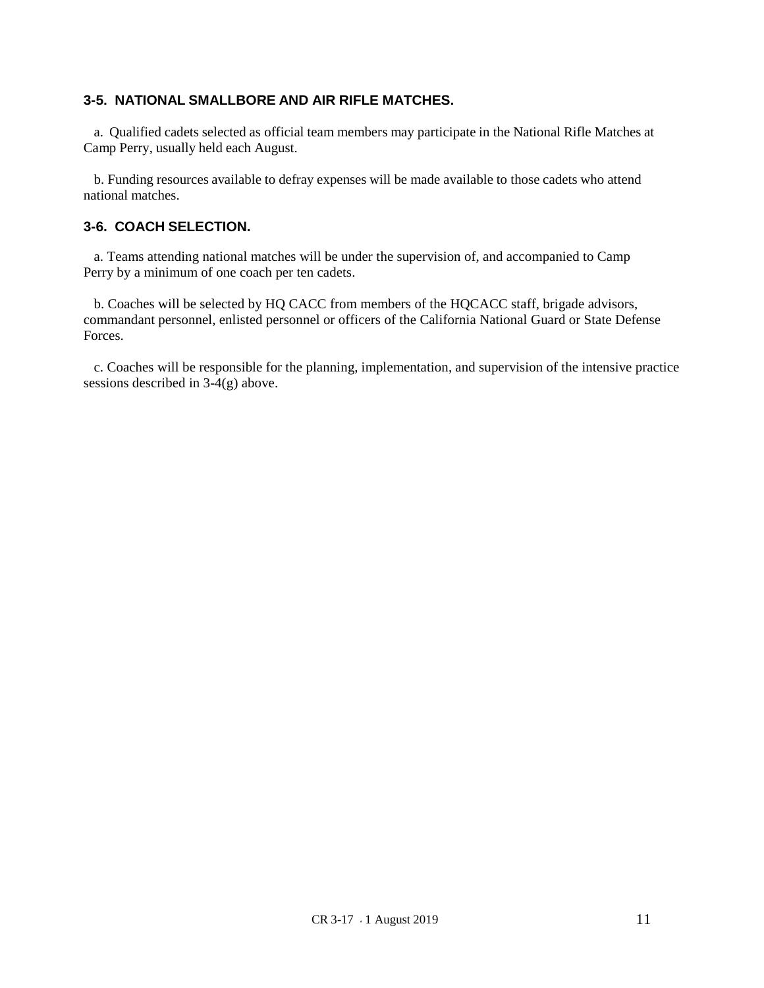#### **3-5. NATIONAL SMALLBORE AND AIR RIFLE MATCHES.**

 a. Qualified cadets selected as official team members may participate in the National Rifle Matches at Camp Perry, usually held each August.

 b. Funding resources available to defray expenses will be made available to those cadets who attend national matches.

#### **3-6. COACH SELECTION.**

 a. Teams attending national matches will be under the supervision of, and accompanied to Camp Perry by a minimum of one coach per ten cadets.

 b. Coaches will be selected by HQ CACC from members of the HQCACC staff, brigade advisors, commandant personnel, enlisted personnel or officers of the California National Guard or State Defense Forces.

 c. Coaches will be responsible for the planning, implementation, and supervision of the intensive practice sessions described in 3-4(g) above.